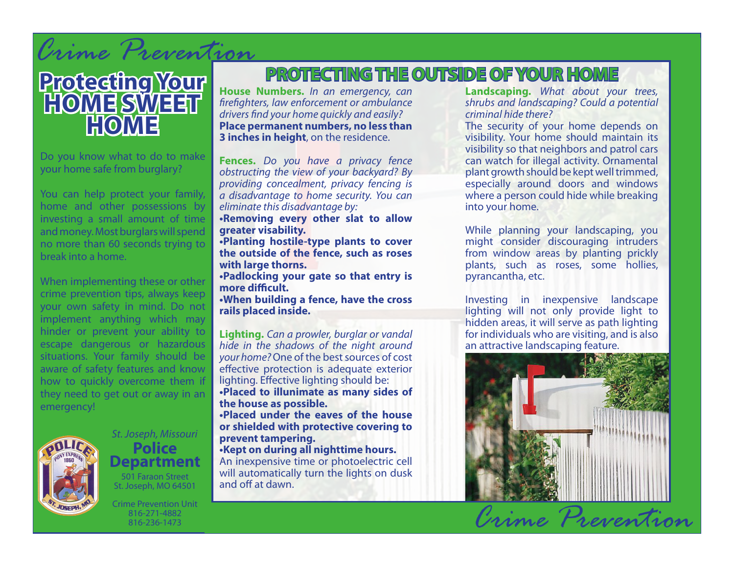# *Crime Prevention*

## **Protecting Your HOME SWEET HOME**

Do you know what to do to make your home safe from burglary?

You can help protect your family, home and other possessions by investing a small amount of time and money. Most burglars will spend no more than 60 seconds trying to break into a home.

When implementing these or other crime prevention tips, always keep your own safety in mind. Do not implement anything which may hinder or prevent your ability to escape dangerous or hazardous situations. Your family should be aware of safety features and know how to quickly overcome them if they need to get out or away in an emergency!



#### *St. Joseph, Missouri* **Police Department** 501 Faraon Street St. Joseph, MO 64501

Crime Prevention Unit 816-271-4882 816-236-1473

### **PROTECTING THE OUTSIDE OF YOUR HOME**

**House Numbers.** *In an emergency, can firefighters, law enforcement or ambulance drivers find your home quickly and easily?* **Place permanent numbers, no less than 3 inches in height**, on the residence.

**Fences.** *Do you have a privacy fence obstructing the view of your backyard? By providing concealment, privacy fencing is a disadvantage to home security. You can eliminate this disadvantage by:* **•Removing every other slat to allow** 

**greater visability.**

**•Planting hostile-type plants to cover the outside of the fence, such as roses with large thorns.**

**•Padlocking your gate so that entry is more difficult.**

**•When building a fence, have the cross rails placed inside.**

**Lighting.** *Can a prowler, burglar or vandal hide in the shadows of the night around your home?* One of the best sources of cost effective protection is adequate exterior lighting. Effective lighting should be: **•Placed to illunimate as many sides of the house as possible. •Placed under the eaves of the house or shielded with protective covering to prevent tampering. •Kept on during all nighttime hours.**

An inexpensive time or photoelectric cell will automatically turn the lights on dusk and off at dawn.

**Landscaping.** *What about your trees, shrubs and landscaping? Could a potential criminal hide there?*

The security of your home depends on visibility. Your home should maintain its visibility so that neighbors and patrol cars can watch for illegal activity. Ornamental plant growth should be kept well trimmed, especially around doors and windows where a person could hide while breaking into your home.

While planning your landscaping, you might consider discouraging intruders from window areas by planting prickly plants, such as roses, some hollies, pyrancantha, etc.

Investing in inexpensive landscape lighting will not only provide light to hidden areas, it will serve as path lighting for individuals who are visiting, and is also an attractive landscaping feature.

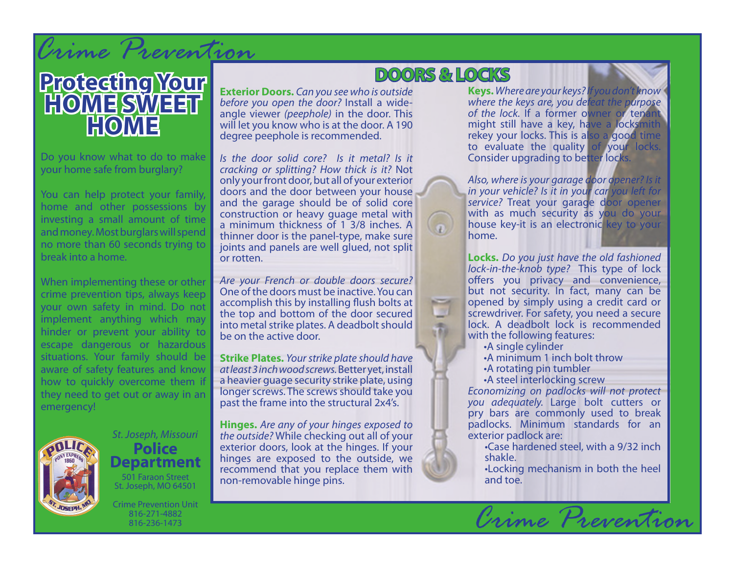## *Crime Prevention*



Do you know what to do to make your home safe from burglary?

You can help protect your family, home and other possessions by investing a small amount of time and money. Most burglars will spend no more than 60 seconds trying to break into a home.

When implementing these or other crime prevention tips, always keep your own safety in mind. Do not implement anything which may hinder or prevent your ability to escape dangerous or hazardous situations. Your family should be aware of safety features and know how to quickly overcome them if they need to get out or away in an emergency!



*St. Joseph, Missouri* **Police Department** 501 Faraon Street St. Joseph, MO 64501

Crime Prevention Unit 816-271-4882 816-236-1473

#### **Exterior Doors.** *Can you see who is outside before you open the door?* Install a wideangle viewer *(peephole)* in the door. This will let you know who is at the door. A 190

*Is the door solid core? Is it metal? Is it cracking or splitting? How thick is it?* Not only your front door, but all of your exterior doors and the door between your house and the garage should be of solid core construction or heavy guage metal with a minimum thickness of 1 3/8 inches. A thinner door is the panel-type, make sure joints and panels are well glued, not split or rotten.

degree peephole is recommended.

*Are your French or double doors secure?*  One of the doors must be inactive. You can accomplish this by installing flush bolts at the top and bottom of the door secured into metal strike plates. A deadbolt should be on the active door.

**Strike Plates.** *Your strike plate should have at least 3 inch wood screws.* Better yet, install a heavier guage security strike plate, using longer screws. The screws should take you past the frame into the structural 2x4's.

**Hinges.** *Are any of your hinges exposed to the outside?* While checking out all of your exterior doors, look at the hinges. If your hinges are exposed to the outside, we recommend that you replace them with non-removable hinge pins.

### **DOORS & LOCKS**

 $\mathbb{R}^n$ 市

**Keys.***Where are your keys? If you don't know where the keys are, you defeat the purpose of the lock.* If a former owner or tenant might still have a key, have a locksmith rekey your locks. This is also a good time to evaluate the quality of your locks. Consider upgrading to better locks.

*Also, where is your garage door opener? Is it in your vehicle? Is it in your car you left for service?* Treat your garage door opener with as much security as you do your house key-it is an electronic key to your home.

**Locks.** *Do you just have the old fashioned lock-in-the-knob type?* This type of lock offers you privacy and convenience, but not security. In fact, many can be opened by simply using a credit card or screwdriver. For safety, you need a secure lock. A deadbolt lock is recommended with the following features:

- •A single cylinder
- •A minimum 1 inch bolt throw
- •A rotating pin tumbler
- •A steel interlocking screw

*Economizing on padlocks will not protect you adequately.* Large bolt cutters or pry bars are commonly used to break padlocks. Minimum standards for an exterior padlock are:

- •Case hardened steel, with a 9/32 inch shakle.
- •Locking mechanism in both the heel and toe.

*Crime Prevention*